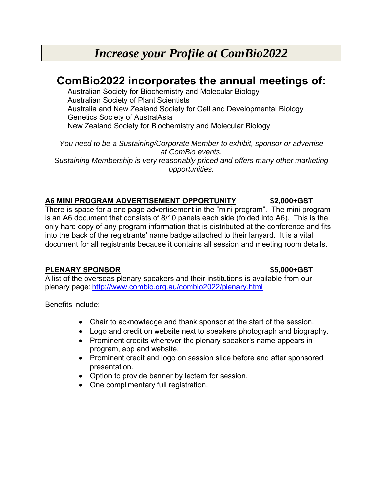# *Increase your Profile at ComBio2022*

## **ComBio2022 incorporates the annual meetings of:**

Australian Society for Biochemistry and Molecular Biology Australian Society of Plant Scientists Australia and New Zealand Society for Cell and Developmental Biology Genetics Society of AustralAsia New Zealand Society for Biochemistry and Molecular Biology

*You need to be a Sustaining/Corporate Member to exhibit, sponsor or advertise at ComBio events. Sustaining Membership is very reasonably priced and offers many other marketing opportunities.* 

### **A6 MINI PROGRAM ADVERTISEMENT OPPORTUNITY \$2,000+GST**

There is space for a one page advertisement in the "mini program". The mini program is an A6 document that consists of 8/10 panels each side (folded into A6). This is the only hard copy of any program information that is distributed at the conference and fits into the back of the registrants' name badge attached to their lanyard. It is a vital document for all registrants because it contains all session and meeting room details.

### **PLENARY SPONSOR \$5,000+GST**

A list of the overseas plenary speakers and their institutions is available from our plenary page: http://www.combio.org.au/combio2022/plenary.html

Benefits include:

- Chair to acknowledge and thank sponsor at the start of the session.
- Logo and credit on website next to speakers photograph and biography.
- Prominent credits wherever the plenary speaker's name appears in program, app and website.
- Prominent credit and logo on session slide before and after sponsored presentation.
- Option to provide banner by lectern for session.
- One complimentary full registration.